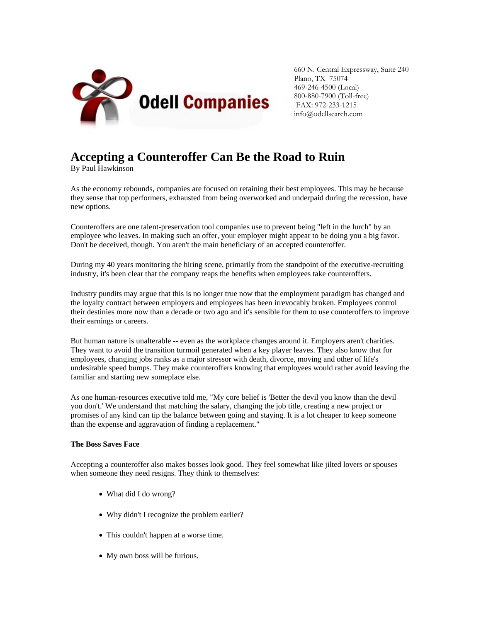

660 N. Central Expressway, Suite 240 Plano, TX 75074 469-246-4500 (Local) 800-880-7900 (Toll-free) FAX: 972-233-1215 info@odellsearch.com

## **Accepting a Counteroffer Can Be the Road to Ruin**

By Paul Hawkinson

As the economy rebounds, companies are focused on retaining their best employees. This may be because they sense that top performers, exhausted from being overworked and underpaid during the recession, have new options.

Counteroffers are one talent-preservation tool companies use to prevent being "left in the lurch" by an employee who leaves. In making such an offer, your employer might appear to be doing you a big favor. Don't be deceived, though. You aren't the main beneficiary of an accepted counteroffer.

During my 40 years monitoring the hiring scene, primarily from the standpoint of the executive-recruiting industry, it's been clear that the company reaps the benefits when employees take counteroffers.

Industry pundits may argue that this is no longer true now that the employment paradigm has changed and the loyalty contract between employers and employees has been irrevocably broken. Employees control their destinies more now than a decade or two ago and it's sensible for them to use counteroffers to improve their earnings or careers.

But human nature is unalterable -- even as the workplace changes around it. Employers aren't charities. They want to avoid the transition turmoil generated when a key player leaves. They also know that for employees, changing jobs ranks as a major stressor with death, divorce, moving and other of life's undesirable speed bumps. They make counteroffers knowing that employees would rather avoid leaving the familiar and starting new someplace else.

As one human-resources executive told me, "My core belief is 'Better the devil you know than the devil you don't.' We understand that matching the salary, changing the job title, creating a new project or promises of any kind can tip the balance between going and staying. It is a lot cheaper to keep someone than the expense and aggravation of finding a replacement."

## **The Boss Saves Face**

Accepting a counteroffer also makes bosses look good. They feel somewhat like jilted lovers or spouses when someone they need resigns. They think to themselves:

- What did I do wrong?
- Why didn't I recognize the problem earlier?
- This couldn't happen at a worse time.
- My own boss will be furious.